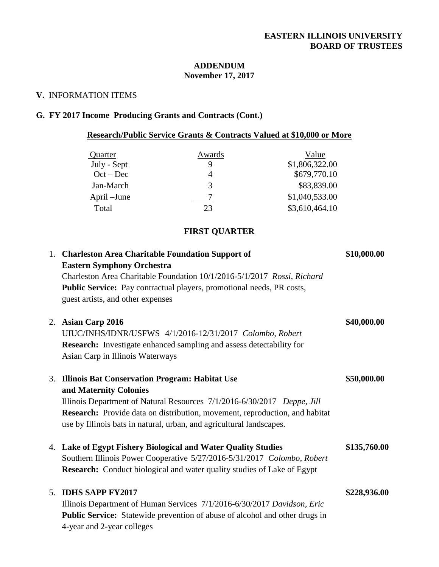#### **ADDENDUM November 17, 2017**

#### **V.** INFORMATION ITEMS

## **G. FY 2017 Income Producing Grants and Contracts (Cont.)**

# **Research/Public Service Grants & Contracts Valued at \$10,000 or More**

| Quarter     | Awards | Value          |
|-------------|--------|----------------|
| July - Sept |        | \$1,806,322.00 |
| $Oct - Dec$ |        | \$679,770.10   |
| Jan-March   |        | \$83,839.00    |
| April –June |        | \$1,040,533.00 |
| Total       | 23     | \$3,610,464.10 |

### **FIRST QUARTER**

|    | 1. Charleston Area Charitable Foundation Support of<br><b>Eastern Symphony Orchestra</b><br>Charleston Area Charitable Foundation 10/1/2016-5/1/2017 Rossi, Richard<br>Public Service: Pay contractual players, promotional needs, PR costs,<br>guest artists, and other expenses                                        | \$10,000.00  |
|----|--------------------------------------------------------------------------------------------------------------------------------------------------------------------------------------------------------------------------------------------------------------------------------------------------------------------------|--------------|
|    | 2. Asian Carp 2016<br>UIUC/INHS/IDNR/USFWS 4/1/2016-12/31/2017 Colombo, Robert<br><b>Research:</b> Investigate enhanced sampling and assess detectability for<br>Asian Carp in Illinois Waterways                                                                                                                        | \$40,000.00  |
| 3. | <b>Illinois Bat Conservation Program: Habitat Use</b><br>and Maternity Colonies<br>Illinois Department of Natural Resources 7/1/2016-6/30/2017 Deppe, Jill<br><b>Research:</b> Provide data on distribution, movement, reproduction, and habitat<br>use by Illinois bats in natural, urban, and agricultural landscapes. | \$50,000.00  |
|    | 4. Lake of Egypt Fishery Biological and Water Quality Studies<br>Southern Illinois Power Cooperative 5/27/2016-5/31/2017 Colombo, Robert<br><b>Research:</b> Conduct biological and water quality studies of Lake of Egypt                                                                                               | \$135,760.00 |
| 5. | <b>IDHS SAPP FY2017</b><br>Illinois Department of Human Services 7/1/2016-6/30/2017 Davidson, Eric<br>Public Service: Statewide prevention of abuse of alcohol and other drugs in<br>4-year and 2-year colleges                                                                                                          | \$228,936.00 |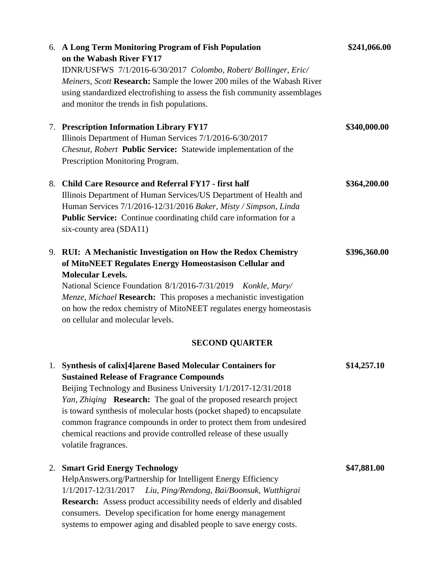|    | 6. A Long Term Monitoring Program of Fish Population<br>on the Wabash River FY17<br>IDNR/USFWS 7/1/2016-6/30/2017 Colombo, Robert/Bollinger, Eric/<br>Meiners, Scott Research: Sample the lower 200 miles of the Wabash River<br>using standardized electrofishing to assess the fish community assemblages<br>and monitor the trends in fish populations.                                                                                                                                             | \$241,066.00 |
|----|--------------------------------------------------------------------------------------------------------------------------------------------------------------------------------------------------------------------------------------------------------------------------------------------------------------------------------------------------------------------------------------------------------------------------------------------------------------------------------------------------------|--------------|
|    | 7. Prescription Information Library FY17<br>Illinois Department of Human Services 7/1/2016-6/30/2017<br>Chesnut, Robert Public Service: Statewide implementation of the<br>Prescription Monitoring Program.                                                                                                                                                                                                                                                                                            | \$340,000.00 |
| 8. | <b>Child Care Resource and Referral FY17 - first half</b><br>Illinois Department of Human Services/US Department of Health and<br>Human Services 7/1/2016-12/31/2016 Baker, Misty / Simpson, Linda<br>Public Service: Continue coordinating child care information for a<br>six-county area (SDA11)                                                                                                                                                                                                    | \$364,200.00 |
|    | 9. RUI: A Mechanistic Investigation on How the Redox Chemistry<br>of MitoNEET Regulates Energy Homeostasison Cellular and<br><b>Molecular Levels.</b><br>National Science Foundation 8/1/2016-7/31/2019 Konkle, Mary/<br>Menze, Michael Research: This proposes a mechanistic investigation<br>on how the redox chemistry of MitoNEET regulates energy homeostasis<br>on cellular and molecular levels.<br><b>SECOND QUARTER</b>                                                                       | \$396,360.00 |
| 1. | <b>Synthesis of calix[4]arene Based Molecular Containers for</b><br><b>Sustained Release of Fragrance Compounds</b><br>Beijing Technology and Business University 1/1/2017-12/31/2018<br>Yan, Zhiqing Research: The goal of the proposed research project<br>is toward synthesis of molecular hosts (pocket shaped) to encapsulate<br>common fragrance compounds in order to protect them from undesired<br>chemical reactions and provide controlled release of these usually<br>volatile fragrances. | \$14,257.10  |
| 2. | <b>Smart Grid Energy Technology</b><br>HelpAnswers.org/Partnership for Intelligent Energy Efficiency<br>1/1/2017-12/31/2017<br>Liu, Ping/Rendong, Bai/Boonsuk, Wutthigrai<br>Research: Assess product accessibility needs of elderly and disabled<br>consumers. Develop specification for home energy management<br>systems to empower aging and disabled people to save energy costs.                                                                                                                 | \$47,881.00  |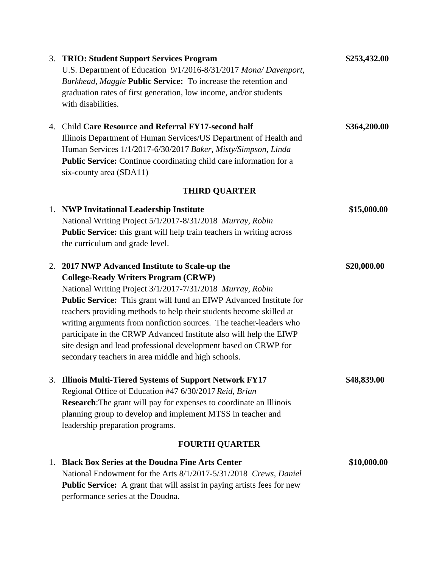|    | 3. TRIO: Student Support Services Program                                      | \$253,432.00 |
|----|--------------------------------------------------------------------------------|--------------|
|    | U.S. Department of Education 9/1/2016-8/31/2017 Mona/ Davenport,               |              |
|    | Burkhead, Maggie Public Service: To increase the retention and                 |              |
|    | graduation rates of first generation, low income, and/or students              |              |
|    | with disabilities.                                                             |              |
|    | 4. Child Care Resource and Referral FY17-second half                           | \$364,200.00 |
|    | Illinois Department of Human Services/US Department of Health and              |              |
|    | Human Services 1/1/2017-6/30/2017 Baker, Misty/Simpson, Linda                  |              |
|    | Public Service: Continue coordinating child care information for a             |              |
|    | six-county area (SDA11)                                                        |              |
|    | <b>THIRD QUARTER</b>                                                           |              |
|    | 1. NWP Invitational Leadership Institute                                       | \$15,000.00  |
|    | National Writing Project 5/1/2017-8/31/2018 Murray, Robin                      |              |
|    | <b>Public Service:</b> this grant will help train teachers in writing across   |              |
|    | the curriculum and grade level.                                                |              |
|    | 2. 2017 NWP Advanced Institute to Scale-up the                                 | \$20,000.00  |
|    | <b>College-Ready Writers Program (CRWP)</b>                                    |              |
|    | National Writing Project 3/1/2017-7/31/2018 Murray, Robin                      |              |
|    | <b>Public Service:</b> This grant will fund an EIWP Advanced Institute for     |              |
|    | teachers providing methods to help their students become skilled at            |              |
|    | writing arguments from nonfiction sources. The teacher-leaders who             |              |
|    | participate in the CRWP Advanced Institute also will help the EIWP             |              |
|    | site design and lead professional development based on CRWP for                |              |
|    | secondary teachers in area middle and high schools.                            |              |
| 3. | <b>Illinois Multi-Tiered Systems of Support Network FY17</b>                   | \$48,839.00  |
|    | Regional Office of Education #47 6/30/2017 Reid, Brian                         |              |
|    | <b>Research:</b> The grant will pay for expenses to coordinate an Illinois     |              |
|    | planning group to develop and implement MTSS in teacher and                    |              |
|    | leadership preparation programs.                                               |              |
|    | <b>FOURTH QUARTER</b>                                                          |              |
|    | 1. Black Box Series at the Doudna Fine Arts Center                             | \$10,000.00  |
|    | National Endowment for the Arts 8/1/2017-5/31/2018 Crews, Daniel               |              |
|    | <b>Public Service:</b> A grant that will assist in paying artists fees for new |              |
|    | performance series at the Doudna.                                              |              |